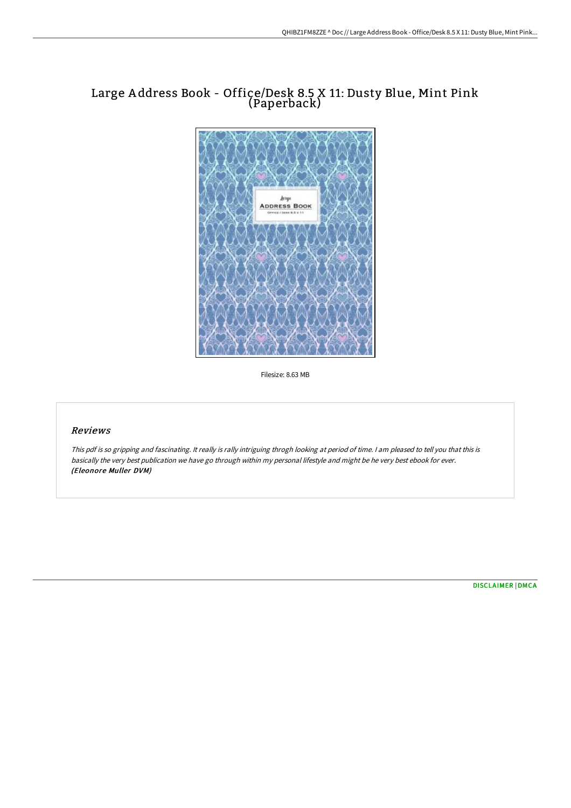# Large A ddress Book - Office/Desk 8.5 X 11: Dusty Blue, Mint Pink (Paperback)



Filesize: 8.63 MB

## Reviews

This pdf is so gripping and fascinating. It really is rally intriguing throgh looking at period of time. <sup>I</sup> am pleased to tell you that this is basically the very best publication we have go through within my personal lifestyle and might be he very best ebook for ever. (Eleonore Muller DVM)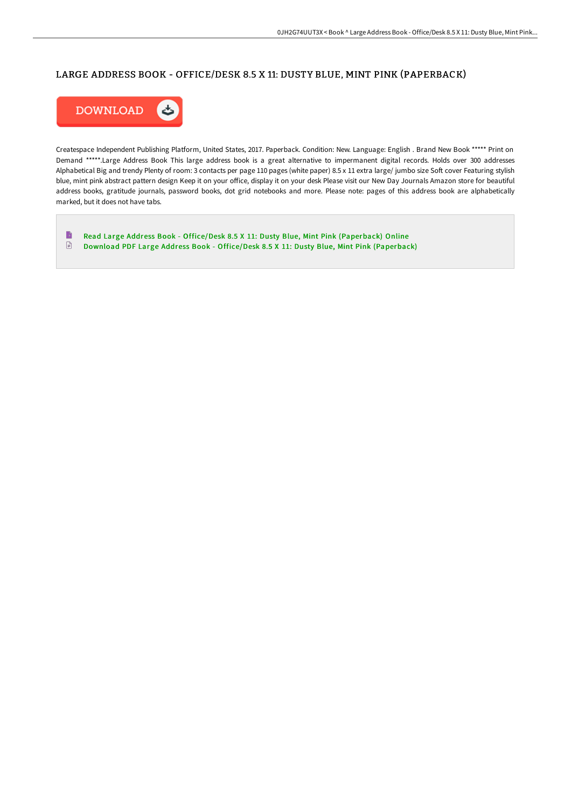## LARGE ADDRESS BOOK - OFFICE/DESK 8.5 X 11: DUSTY BLUE, MINT PINK (PAPERBACK)



Createspace Independent Publishing Platform, United States, 2017. Paperback. Condition: New. Language: English . Brand New Book \*\*\*\*\* Print on Demand \*\*\*\*\*.Large Address Book This large address book is a great alternative to impermanent digital records. Holds over 300 addresses Alphabetical Big and trendy Plenty of room: 3 contacts per page 110 pages (white paper) 8.5 x 11 extra large/ jumbo size Soft cover Featuring stylish blue, mint pink abstract pattern design Keep it on your office, display it on your desk Please visit our New Day Journals Amazon store for beautiful address books, gratitude journals, password books, dot grid notebooks and more. Please note: pages of this address book are alphabetically marked, but it does not have tabs.

 $\blacksquare$ Read Large Address Book - Office/Desk 8.5 X 11: Dusty Blue, Mint Pink [\(Paperback\)](http://techno-pub.tech/large-address-book-office-x2f-desk-8-5-x-11-dust.html) Online  $\mathbf{r}$ Download PDF Large Address Book - Office/Desk 8.5 X 11: Dusty Blue, Mint Pink [\(Paperback\)](http://techno-pub.tech/large-address-book-office-x2f-desk-8-5-x-11-dust.html)